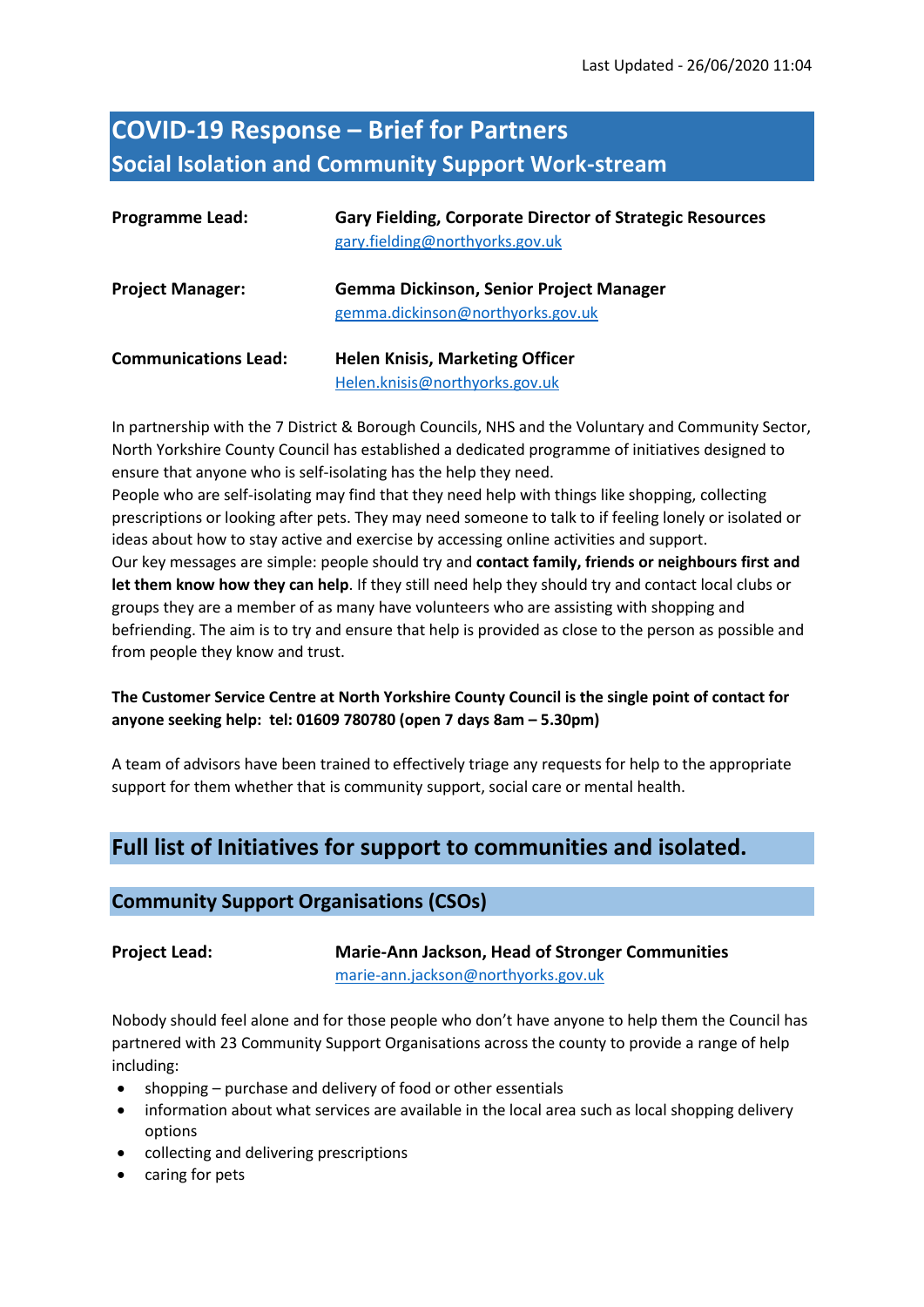# **COVID-19 Response – Brief for Partners Social Isolation and Community Support Work-stream**

| <b>Programme Lead:</b>      | <b>Gary Fielding, Corporate Director of Strategic Resources</b><br>gary.fielding@northyorks.gov.uk |
|-----------------------------|----------------------------------------------------------------------------------------------------|
| <b>Project Manager:</b>     | <b>Gemma Dickinson, Senior Project Manager</b><br>gemma.dickinson@northyorks.gov.uk                |
| <b>Communications Lead:</b> | <b>Helen Knisis, Marketing Officer</b><br>Helen.knisis@northyorks.gov.uk                           |

In partnership with the 7 District & Borough Councils, NHS and the Voluntary and Community Sector, North Yorkshire County Council has established a dedicated programme of initiatives designed to ensure that anyone who is self-isolating has the help they need.

People who are self-isolating may find that they need help with things like shopping, collecting prescriptions or looking after pets. They may need someone to talk to if feeling lonely or isolated or ideas about how to stay active and exercise by accessing online activities and support. Our key messages are simple: people should try and **contact family, friends or neighbours first and let them know how they can help**. If they still need help they should try and contact local clubs or groups they are a member of as many have volunteers who are assisting with shopping and befriending. The aim is to try and ensure that help is provided as close to the person as possible and from people they know and trust.

### **The Customer Service Centre at North Yorkshire County Council is the single point of contact for anyone seeking help: tel: 01609 780780 (open 7 days 8am – 5.30pm)**

A team of advisors have been trained to effectively triage any requests for help to the appropriate support for them whether that is community support, social care or mental health.

# **Full list of Initiatives for support to communities and isolated.**

### **Community Support Organisations (CSOs)**

### **Project Lead: Marie-Ann Jackson, Head of Stronger Communities**

[marie-ann.jackson@northyorks.gov.uk](mailto:marie-ann.jackson@northyorks.gov.uk)

Nobody should feel alone and for those people who don't have anyone to help them the Council has partnered with 23 Community Support Organisations across the county to provide a range of help including:

- shopping purchase and delivery of food or other essentials
- information about what services are available in the local area such as local shopping delivery options
- collecting and delivering prescriptions
- caring for pets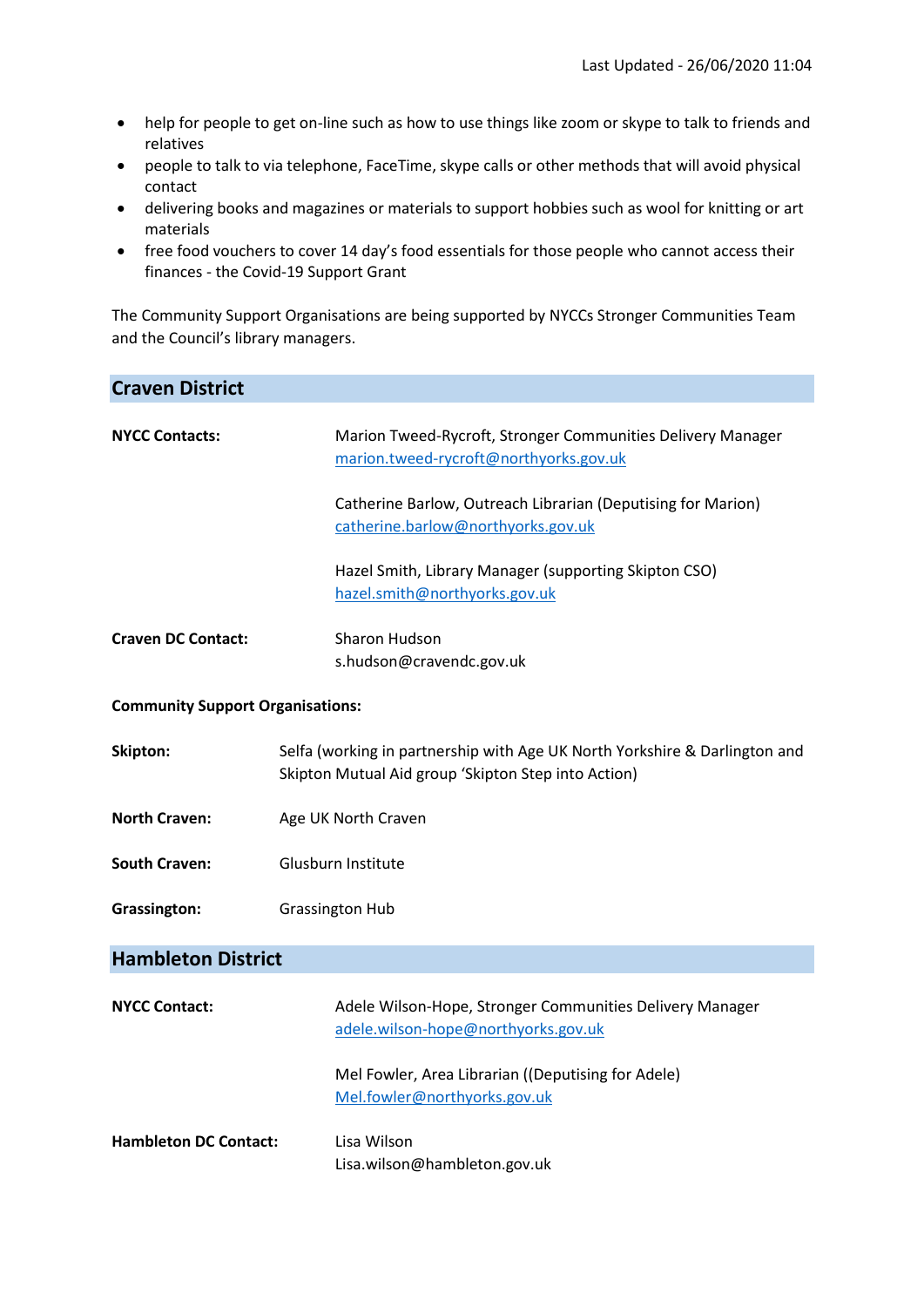- help for people to get on-line such as how to use things like zoom or skype to talk to friends and relatives
- people to talk to via telephone, FaceTime, skype calls or other methods that will avoid physical contact
- delivering books and magazines or materials to support hobbies such as wool for knitting or art materials
- free food vouchers to cover 14 day's food essentials for those people who cannot access their finances - the Covid-19 Support Grant

The Community Support Organisations are being supported by NYCCs Stronger Communities Team and the Council's library managers.

| <b>Craven District</b>                  |                                                                                                                                                                                                                                                                      |  |
|-----------------------------------------|----------------------------------------------------------------------------------------------------------------------------------------------------------------------------------------------------------------------------------------------------------------------|--|
| <b>NYCC Contacts:</b>                   | Marion Tweed-Rycroft, Stronger Communities Delivery Manager<br>marion.tweed-rycroft@northyorks.gov.uk<br>Catherine Barlow, Outreach Librarian (Deputising for Marion)<br>catherine.barlow@northyorks.gov.uk<br>Hazel Smith, Library Manager (supporting Skipton CSO) |  |
|                                         | hazel.smith@northyorks.gov.uk                                                                                                                                                                                                                                        |  |
| <b>Craven DC Contact:</b>               | <b>Sharon Hudson</b><br>s.hudson@cravendc.gov.uk                                                                                                                                                                                                                     |  |
| <b>Community Support Organisations:</b> |                                                                                                                                                                                                                                                                      |  |
| Skipton:                                | Selfa (working in partnership with Age UK North Yorkshire & Darlington and<br>Skipton Mutual Aid group 'Skipton Step into Action)                                                                                                                                    |  |
| <b>North Craven:</b>                    | Age UK North Craven                                                                                                                                                                                                                                                  |  |
| <b>South Craven:</b>                    | Glusburn Institute                                                                                                                                                                                                                                                   |  |
| Grassington:                            | <b>Grassington Hub</b>                                                                                                                                                                                                                                               |  |
| <b>Hambleton District</b>               |                                                                                                                                                                                                                                                                      |  |
| <b>NYCC Contact:</b>                    | Adele Wilson-Hope, Stronger Communities Delivery Manager<br>adele.wilson-hope@northyorks.gov.uk                                                                                                                                                                      |  |
|                                         | Mel Fowler, Area Librarian ((Deputising for Adele)<br>Mel.fowler@northyorks.gov.uk                                                                                                                                                                                   |  |
| <b>Hambleton DC Contact:</b>            | Lisa Wilson<br>Lisa.wilson@hambleton.gov.uk                                                                                                                                                                                                                          |  |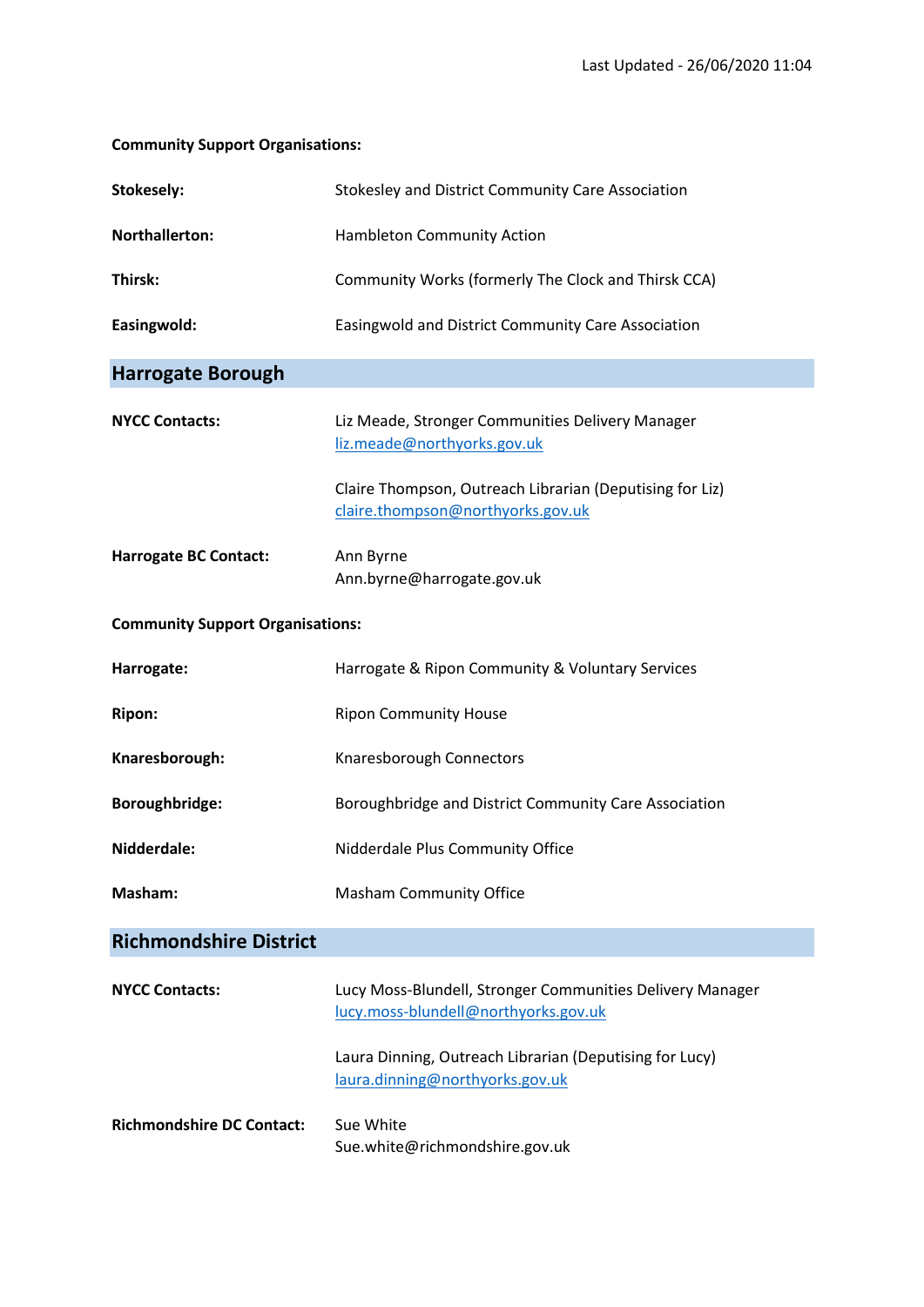### **Community Support Organisations:**

| Stokesely:                              | Stokesley and District Community Care Association                                                 |  |
|-----------------------------------------|---------------------------------------------------------------------------------------------------|--|
| Northallerton:                          | Hambleton Community Action                                                                        |  |
| Thirsk:                                 | Community Works (formerly The Clock and Thirsk CCA)                                               |  |
| Easingwold:                             | Easingwold and District Community Care Association                                                |  |
| <b>Harrogate Borough</b>                |                                                                                                   |  |
| <b>NYCC Contacts:</b>                   | Liz Meade, Stronger Communities Delivery Manager<br>liz.meade@northyorks.gov.uk                   |  |
|                                         | Claire Thompson, Outreach Librarian (Deputising for Liz)<br>claire.thompson@northyorks.gov.uk     |  |
| <b>Harrogate BC Contact:</b>            | Ann Byrne<br>Ann.byrne@harrogate.gov.uk                                                           |  |
| <b>Community Support Organisations:</b> |                                                                                                   |  |
| Harrogate:                              | Harrogate & Ripon Community & Voluntary Services                                                  |  |
| <b>Ripon:</b>                           | <b>Ripon Community House</b>                                                                      |  |
| Knaresborough:                          | Knaresborough Connectors                                                                          |  |
| Boroughbridge:                          | Boroughbridge and District Community Care Association                                             |  |
| Nidderdale:                             | Nidderdale Plus Community Office                                                                  |  |
| Masham:                                 | <b>Masham Community Office</b>                                                                    |  |
| <b>Richmondshire District</b>           |                                                                                                   |  |
| <b>NYCC Contacts:</b>                   | Lucy Moss-Blundell, Stronger Communities Delivery Manager<br>lucy.moss-blundell@northyorks.gov.uk |  |
|                                         | Laura Dinning, Outreach Librarian (Deputising for Lucy)<br>laura.dinning@northyorks.gov.uk        |  |
| <b>Richmondshire DC Contact:</b>        | Sue White<br>Sue.white@richmondshire.gov.uk                                                       |  |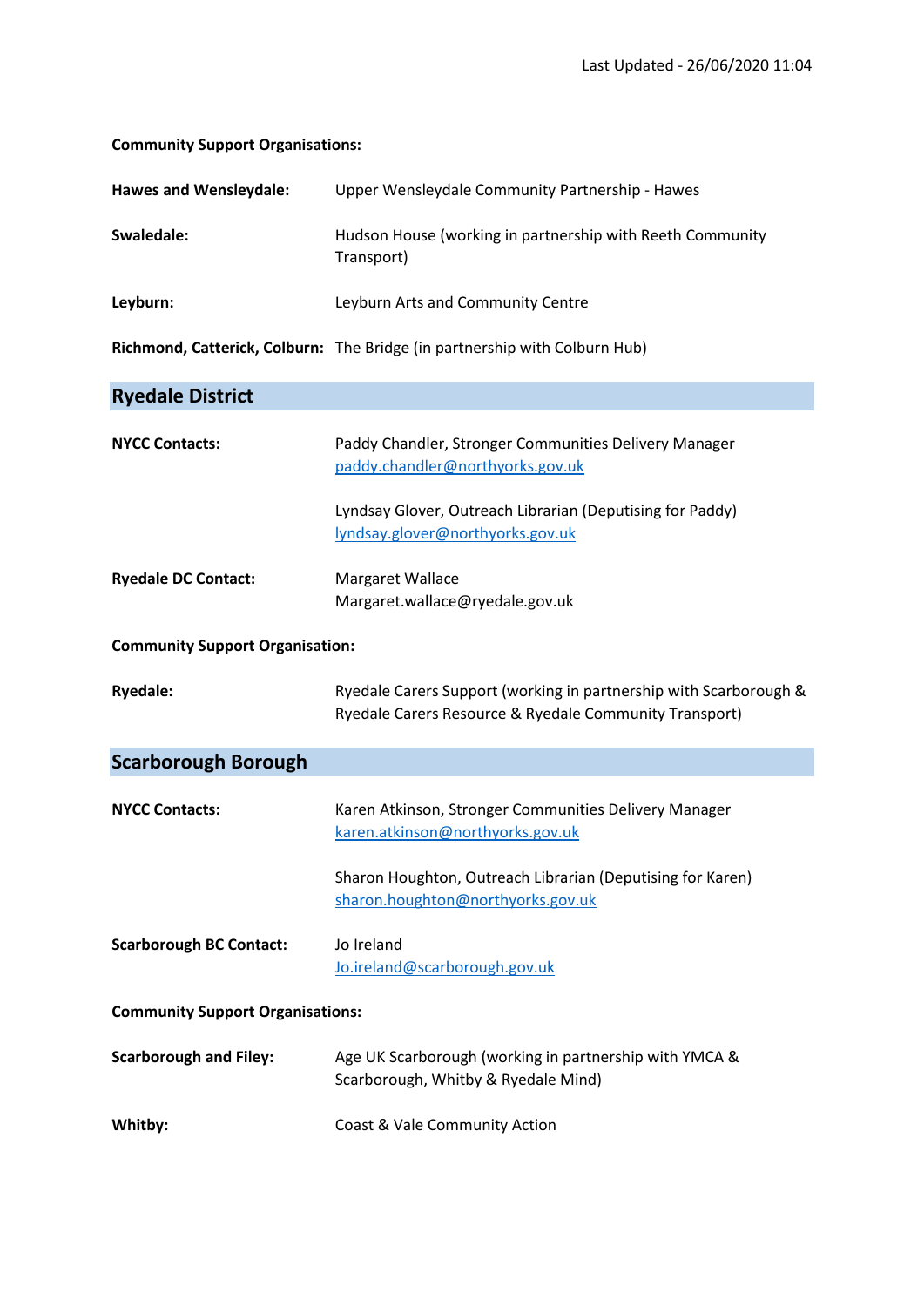### **Community Support Organisations:**

| <b>Hawes and Wensleydale:</b>           | Upper Wensleydale Community Partnership - Hawes                                                                             |  |
|-----------------------------------------|-----------------------------------------------------------------------------------------------------------------------------|--|
| Swaledale:                              | Hudson House (working in partnership with Reeth Community<br>Transport)                                                     |  |
| Leyburn:                                | Leyburn Arts and Community Centre                                                                                           |  |
|                                         | Richmond, Catterick, Colburn: The Bridge (in partnership with Colburn Hub)                                                  |  |
| <b>Ryedale District</b>                 |                                                                                                                             |  |
| <b>NYCC Contacts:</b>                   | Paddy Chandler, Stronger Communities Delivery Manager<br>paddy.chandler@northyorks.gov.uk                                   |  |
|                                         | Lyndsay Glover, Outreach Librarian (Deputising for Paddy)<br>lyndsay.glover@northyorks.gov.uk                               |  |
| <b>Ryedale DC Contact:</b>              | Margaret Wallace<br>Margaret.wallace@ryedale.gov.uk                                                                         |  |
| <b>Community Support Organisation:</b>  |                                                                                                                             |  |
| <b>Ryedale:</b>                         | Ryedale Carers Support (working in partnership with Scarborough &<br>Ryedale Carers Resource & Ryedale Community Transport) |  |
| <b>Scarborough Borough</b>              |                                                                                                                             |  |
| <b>NYCC Contacts:</b>                   | Karen Atkinson, Stronger Communities Delivery Manager<br>karen.atkinson@northyorks.gov.uk                                   |  |
|                                         | Sharon Houghton, Outreach Librarian (Deputising for Karen)<br>sharon.houghton@northyorks.gov.uk                             |  |
| <b>Scarborough BC Contact:</b>          | Jo Ireland<br>Jo.ireland@scarborough.gov.uk                                                                                 |  |
| <b>Community Support Organisations:</b> |                                                                                                                             |  |
| <b>Scarborough and Filey:</b>           | Age UK Scarborough (working in partnership with YMCA &<br>Scarborough, Whitby & Ryedale Mind)                               |  |
| Whitby:                                 | Coast & Vale Community Action                                                                                               |  |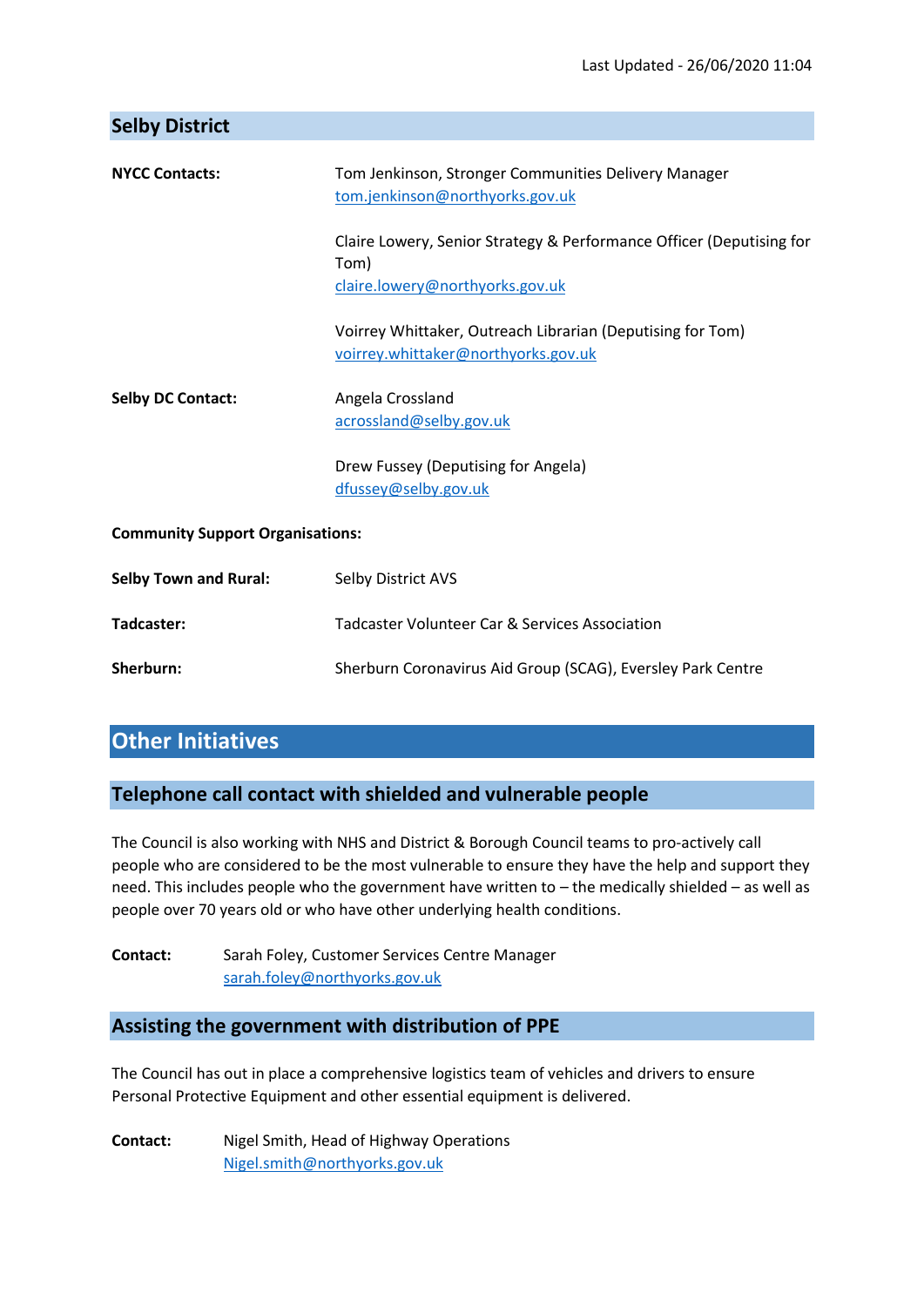| <b>Selby District</b>                   |                                                                                                                 |  |
|-----------------------------------------|-----------------------------------------------------------------------------------------------------------------|--|
| <b>NYCC Contacts:</b>                   | Tom Jenkinson, Stronger Communities Delivery Manager<br>tom.jenkinson@northyorks.gov.uk                         |  |
|                                         | Claire Lowery, Senior Strategy & Performance Officer (Deputising for<br>Tom)<br>claire.lowery@northyorks.gov.uk |  |
|                                         |                                                                                                                 |  |
|                                         | Voirrey Whittaker, Outreach Librarian (Deputising for Tom)<br>voirrey.whittaker@northyorks.gov.uk               |  |
| <b>Selby DC Contact:</b>                | Angela Crossland<br>acrossland@selby.gov.uk                                                                     |  |
|                                         | Drew Fussey (Deputising for Angela)<br>dfussey@selby.gov.uk                                                     |  |
| <b>Community Support Organisations:</b> |                                                                                                                 |  |
| <b>Selby Town and Rural:</b>            | Selby District AVS                                                                                              |  |
| Tadcaster:                              | Tadcaster Volunteer Car & Services Association                                                                  |  |
| Sherburn:                               | Sherburn Coronavirus Aid Group (SCAG), Eversley Park Centre                                                     |  |
|                                         |                                                                                                                 |  |

# **Other Initiatives**

# **Telephone call contact with shielded and vulnerable people**

The Council is also working with NHS and District & Borough Council teams to pro-actively call people who are considered to be the most vulnerable to ensure they have the help and support they need. This includes people who the government have written to – the medically shielded – as well as people over 70 years old or who have other underlying health conditions.

Contact: Sarah Foley, Customer Services Centre Manager [sarah.foley@northyorks.gov.uk](mailto:sarah.foley@northyorks.gov.uk)

# **Assisting the government with distribution of PPE**

The Council has out in place a comprehensive logistics team of vehicles and drivers to ensure Personal Protective Equipment and other essential equipment is delivered.

**Contact:** Nigel Smith, Head of Highway Operations [Nigel.smith@northyorks.gov.uk](mailto:Nigel.smith@northyorks.gov.uk)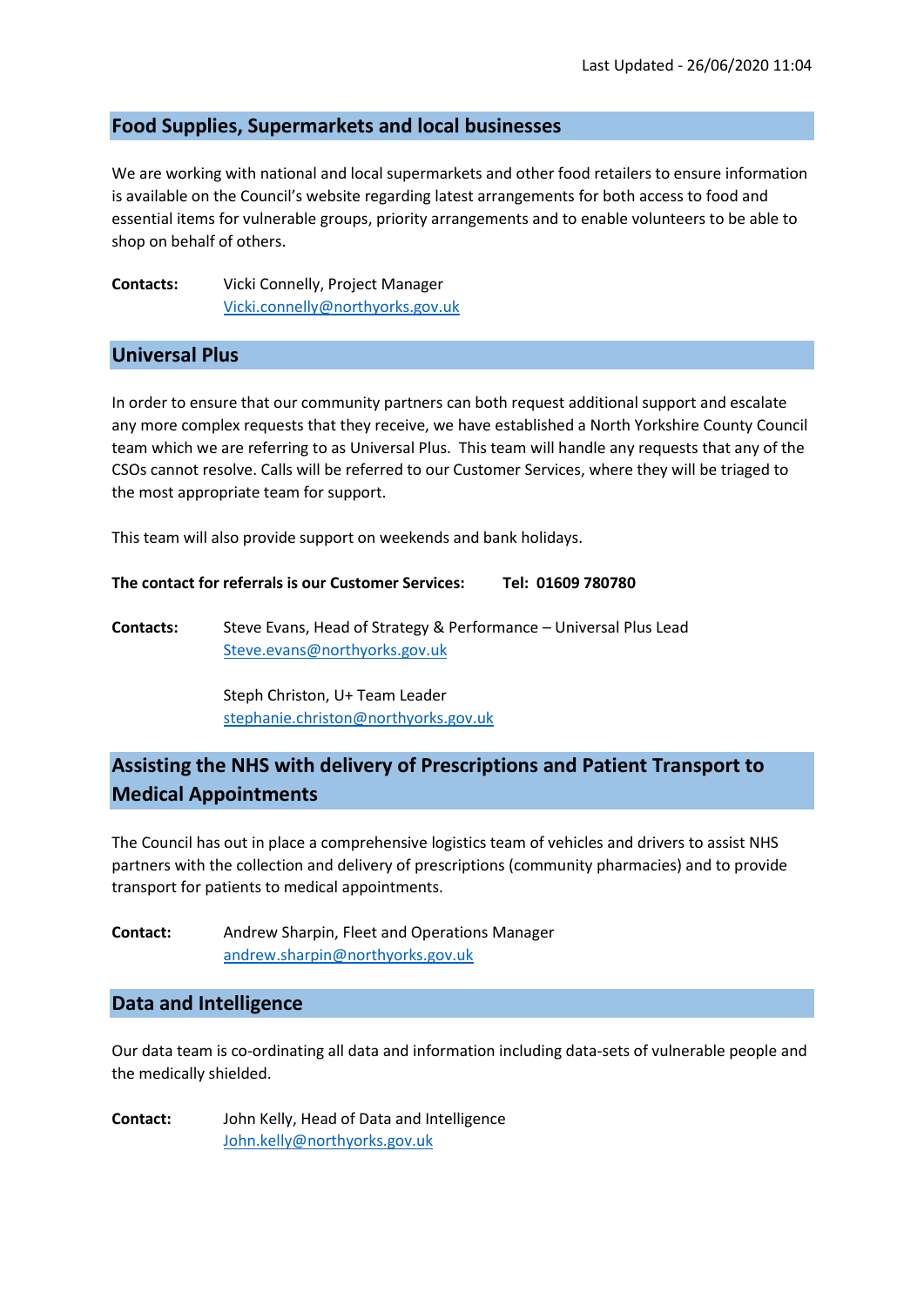### **Food Supplies, Supermarkets and local businesses**

We are working with national and local supermarkets and other food retailers to ensure information is available on the Council's website regarding latest arrangements for both access to food and essential items for vulnerable groups, priority arrangements and to enable volunteers to be able to shop on behalf of others.

**Contacts:** Vicki Connelly, Project Manager [Vicki.connelly@northyorks.gov.uk](mailto:Vicki.connelly@northyorks.gov.uk)

### **Universal Plus**

In order to ensure that our community partners can both request additional support and escalate any more complex requests that they receive, we have established a North Yorkshire County Council team which we are referring to as Universal Plus. This team will handle any requests that any of the CSOs cannot resolve. Calls will be referred to our Customer Services, where they will be triaged to the most appropriate team for support.

This team will also provide support on weekends and bank holidays.

**The contact for referrals is our Customer Services: Tel: 01609 780780**

**Contacts:** Steve Evans, Head of Strategy & Performance – Universal Plus Lead Steve.evans@northyorks.gov.uk

> Steph Christon, U+ Team Leader [stephanie.christon@northyorks.gov.uk](mailto:stephanie.christon@northyorks.gov.uk)

## **Assisting the NHS with delivery of Prescriptions and Patient Transport to Medical Appointments**

The Council has out in place a comprehensive logistics team of vehicles and drivers to assist NHS partners with the collection and delivery of prescriptions (community pharmacies) and to provide transport for patients to medical appointments.

**Contact:** Andrew Sharpin, Fleet and Operations Manager [andrew.sharpin@northyorks.gov.uk](mailto:andrew.sharpin@northyorks.gov.uk)

### **Data and Intelligence**

Our data team is co-ordinating all data and information including data-sets of vulnerable people and the medically shielded.

**Contact:** John Kelly, Head of Data and Intelligence [John.kelly@northyorks.gov.uk](mailto:John.kelly@northyorks.gov.uk)